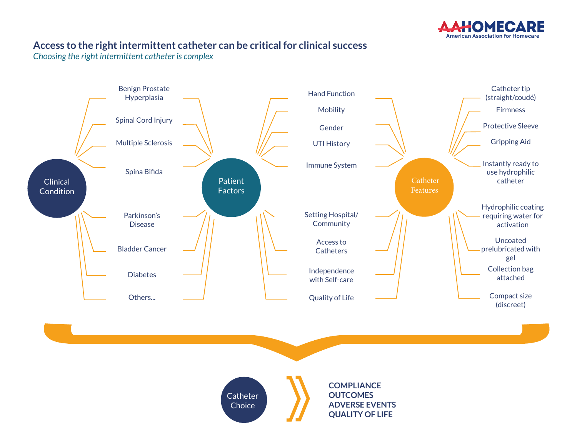

## **Access to the right intermittent catheter can be critical for clinical success**

*Choosing the right intermittent catheter is complex*